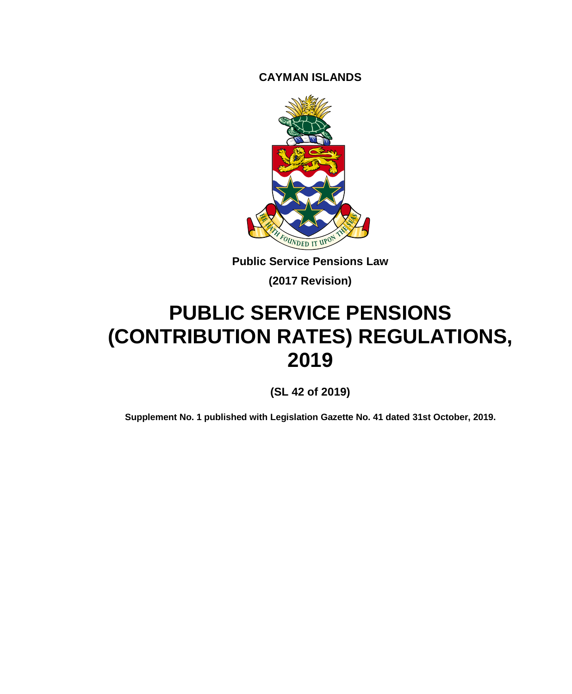**CAYMAN ISLANDS**



**Public Service Pensions Law**

**(2017 Revision)**

# **PUBLIC SERVICE PENSIONS (CONTRIBUTION RATES) REGULATIONS, 2019**

**(SL 42 of 2019)**

**Supplement No. 1 published with Legislation Gazette No. 41 dated 31st October, 2019.**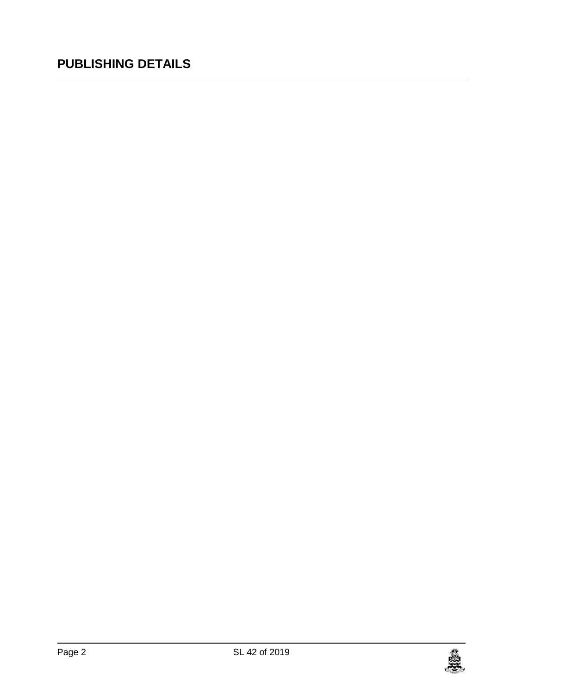## **PUBLISHING DETAILS**

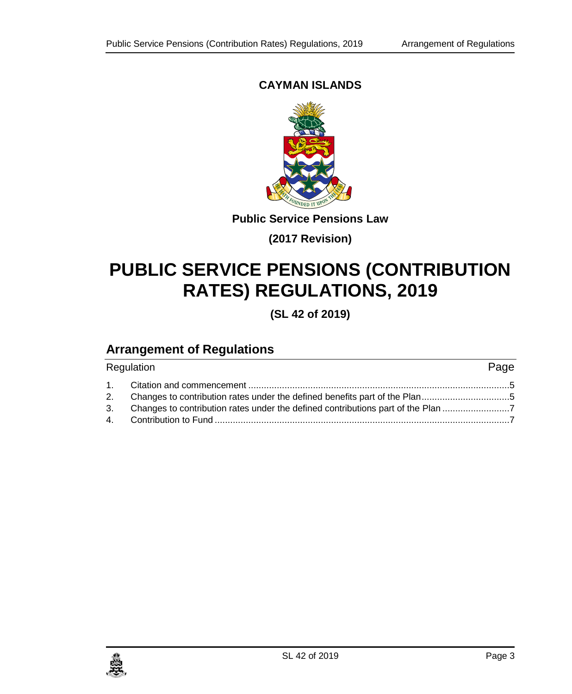#### **CAYMAN ISLANDS**



**Public Service Pensions Law**

**(2017 Revision)**

## **PUBLIC SERVICE PENSIONS (CONTRIBUTION RATES) REGULATIONS, 2019**

**(SL 42 of 2019)**

## **Arrangement of Regulations**

| Regulation |                                                                                     |  |
|------------|-------------------------------------------------------------------------------------|--|
|            |                                                                                     |  |
|            | 2. Changes to contribution rates under the defined benefits part of the Plan5       |  |
|            | 3. Changes to contribution rates under the defined contributions part of the Plan 7 |  |
|            |                                                                                     |  |

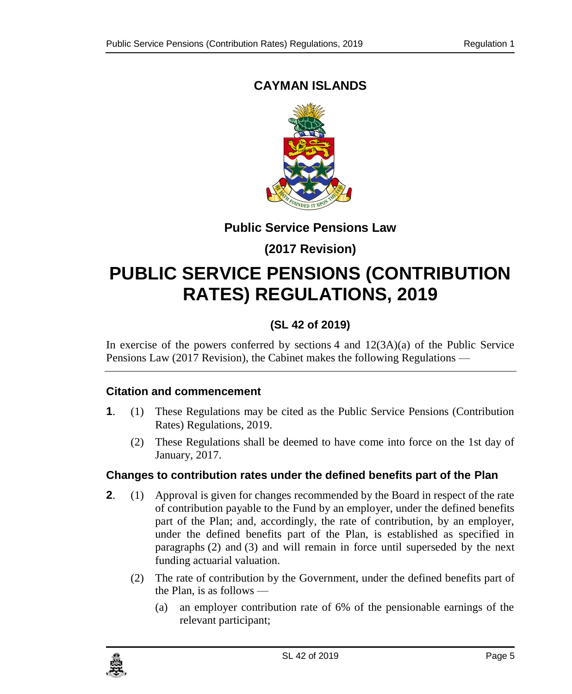## <span id="page-4-0"></span>**CAYMAN ISLANDS**



#### **Public Service Pensions Law**

### **(2017 Revision)**

## **PUBLIC SERVICE PENSIONS (CONTRIBUTION RATES) REGULATIONS, 2019**

### **(SL 42 of 2019)**

In exercise of the powers conferred by sections 4 and  $12(3A)(a)$  of the Public Service Pensions Law (2017 Revision), the Cabinet makes the following Regulations —

#### **1. Citation and commencement**

- **1**. (1) These Regulations may be cited as the Public Service Pensions (Contribution Rates) Regulations, 2019.
	- (2) These Regulations shall be deemed to have come into force on the 1st day of January, 2017.

#### <span id="page-4-1"></span>**2. Changes to contribution rates under the defined benefits part of the Plan**

- **2**. (1) Approval is given for changes recommended by the Board in respect of the rate of contribution payable to the Fund by an employer, under the defined benefits part of the Plan; and, accordingly, the rate of contribution, by an employer, under the defined benefits part of the Plan, is established as specified in paragraphs (2) and (3) and will remain in force until superseded by the next funding actuarial valuation.
	- (2) The rate of contribution by the Government, under the defined benefits part of the Plan, is as follows —
		- (a) an employer contribution rate of 6% of the pensionable earnings of the relevant participant;

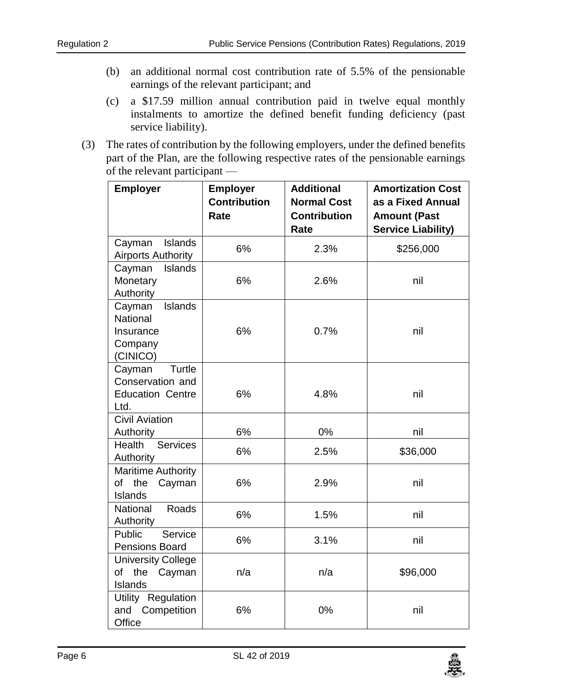- (b) an additional normal cost contribution rate of 5.5% of the pensionable earnings of the relevant participant; and
- (c) a \$17.59 million annual contribution paid in twelve equal monthly instalments to amortize the defined benefit funding deficiency (past service liability).
- (3) The rates of contribution by the following employers, under the defined benefits part of the Plan, are the following respective rates of the pensionable earnings of the relevant participant —

| <b>Employer</b>                                                         | <b>Employer</b><br><b>Contribution</b><br>Rate | <b>Additional</b><br><b>Normal Cost</b><br><b>Contribution</b><br>Rate | <b>Amortization Cost</b><br>as a Fixed Annual<br><b>Amount (Past</b><br><b>Service Liability)</b> |
|-------------------------------------------------------------------------|------------------------------------------------|------------------------------------------------------------------------|---------------------------------------------------------------------------------------------------|
| Islands<br>Cayman<br><b>Airports Authority</b>                          | 6%                                             | 2.3%                                                                   | \$256,000                                                                                         |
| Cayman<br><b>Islands</b><br>Monetary<br>Authority                       | 6%                                             | 2.6%                                                                   | nil                                                                                               |
| Islands<br>Cayman<br>National<br>Insurance<br>Company<br>(CINICO)       | 6%                                             | 0.7%                                                                   | nil                                                                                               |
| Cayman<br>Turtle<br>Conservation and<br><b>Education Centre</b><br>Ltd. | 6%                                             | 4.8%                                                                   | nil                                                                                               |
| Civil Aviation<br>Authority                                             | 6%                                             | 0%                                                                     | nil                                                                                               |
| Health<br>Services<br>Authority                                         | 6%                                             | 2.5%                                                                   | \$36,000                                                                                          |
| <b>Maritime Authority</b><br>the<br>of<br>Cayman<br>Islands             | 6%                                             | 2.9%                                                                   | nil                                                                                               |
| Roads<br>National<br>Authority                                          | 6%                                             | 1.5%                                                                   | nil                                                                                               |
| Service<br>Public<br>Pensions Board                                     | 6%                                             | 3.1%                                                                   | nil                                                                                               |
| <b>University College</b><br>the<br>of<br>Cayman<br>Islands             | n/a                                            | n/a                                                                    | \$96,000                                                                                          |
| Utility Regulation<br>Competition<br>and<br>Office                      | 6%                                             | 0%                                                                     | nil                                                                                               |